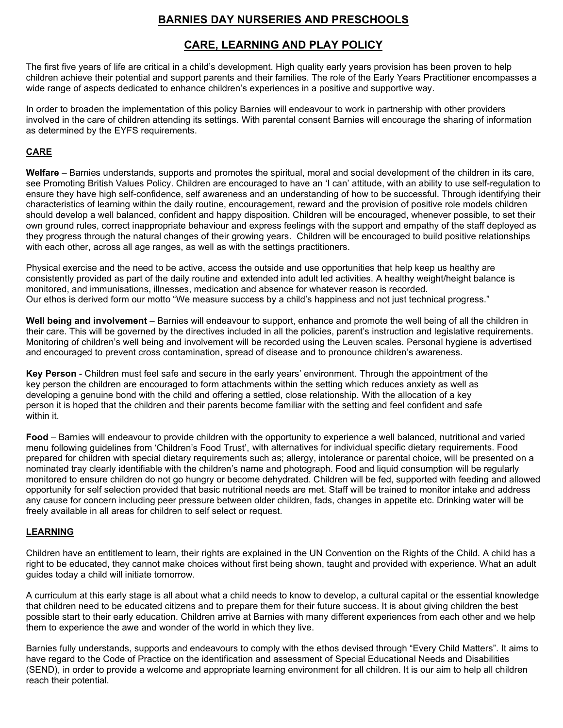# **BARNIES DAY NURSERIES AND PRESCHOOLS**

## **CARE, LEARNING AND PLAY POLICY**

The first five years of life are critical in a child's development. High quality early years provision has been proven to help children achieve their potential and support parents and their families. The role of the Early Years Practitioner encompasses a wide range of aspects dedicated to enhance children's experiences in a positive and supportive way.

In order to broaden the implementation of this policy Barnies will endeavour to work in partnership with other providers involved in the care of children attending its settings. With parental consent Barnies will encourage the sharing of information as determined by the EYFS requirements.

### **CARE**

**Welfare** – Barnies understands, supports and promotes the spiritual, moral and social development of the children in its care, see Promoting British Values Policy. Children are encouraged to have an 'I can' attitude, with an ability to use self-regulation to ensure they have high self-confidence, self awareness and an understanding of how to be successful. Through identifying their characteristics of learning within the daily routine, encouragement, reward and the provision of positive role models children should develop a well balanced, confident and happy disposition. Children will be encouraged, whenever possible, to set their own ground rules, correct inappropriate behaviour and express feelings with the support and empathy of the staff deployed as they progress through the natural changes of their growing years. Children will be encouraged to build positive relationships with each other, across all age ranges, as well as with the settings practitioners.

Physical exercise and the need to be active, access the outside and use opportunities that help keep us healthy are consistently provided as part of the daily routine and extended into adult led activities. A healthy weight/height balance is monitored, and immunisations, illnesses, medication and absence for whatever reason is recorded. Our ethos is derived form our motto "We measure success by a child's happiness and not just technical progress."

**Well being and involvement** – Barnies will endeavour to support, enhance and promote the well being of all the children in their care. This will be governed by the directives included in all the policies, parent's instruction and legislative requirements. Monitoring of children's well being and involvement will be recorded using the Leuven scales. Personal hygiene is advertised and encouraged to prevent cross contamination, spread of disease and to pronounce children's awareness.

**Key Person** - Children must feel safe and secure in the early years' environment. Through the appointment of the key person the children are encouraged to form attachments within the setting which reduces anxiety as well as developing a genuine bond with the child and offering a settled, close relationship. With the allocation of a key person it is hoped that the children and their parents become familiar with the setting and feel confident and safe within it.

**Food** – Barnies will endeavour to provide children with the opportunity to experience a well balanced, nutritional and varied menu following guidelines from 'Children's Food Trust', with alternatives for individual specific dietary requirements. Food prepared for children with special dietary requirements such as; allergy, intolerance or parental choice, will be presented on a nominated tray clearly identifiable with the children's name and photograph. Food and liquid consumption will be regularly monitored to ensure children do not go hungry or become dehydrated. Children will be fed, supported with feeding and allowed opportunity for self selection provided that basic nutritional needs are met. Staff will be trained to monitor intake and address any cause for concern including peer pressure between older children, fads, changes in appetite etc. Drinking water will be freely available in all areas for children to self select or request.

### **LEARNING**

Children have an entitlement to learn, their rights are explained in the UN Convention on the Rights of the Child. A child has a right to be educated, they cannot make choices without first being shown, taught and provided with experience. What an adult guides today a child will initiate tomorrow.

A curriculum at this early stage is all about what a child needs to know to develop, a cultural capital or the essential knowledge that children need to be educated citizens and to prepare them for their future success. It is about giving children the best possible start to their early education. Children arrive at Barnies with many different experiences from each other and we help them to experience the awe and wonder of the world in which they live.

Barnies fully understands, supports and endeavours to comply with the ethos devised through "Every Child Matters". It aims to have regard to the Code of Practice on the identification and assessment of Special Educational Needs and Disabilities (SEND), in order to provide a welcome and appropriate learning environment for all children. It is our aim to help all children reach their potential.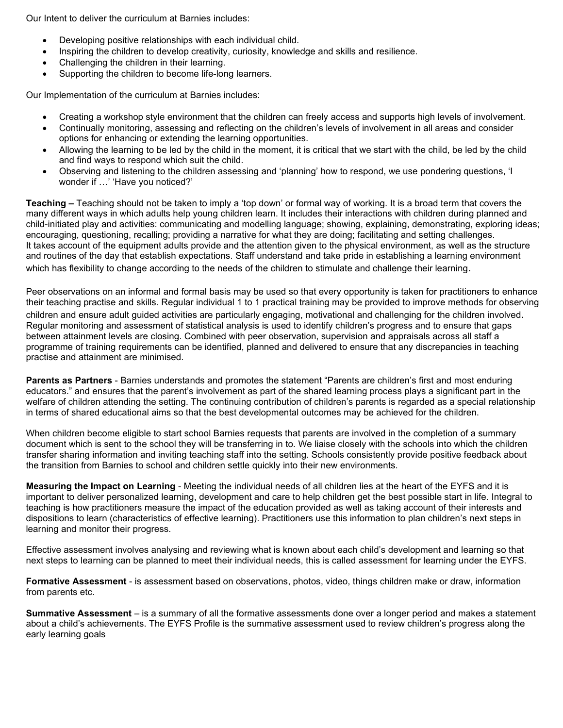Our Intent to deliver the curriculum at Barnies includes:

- Developing positive relationships with each individual child.
- Inspiring the children to develop creativity, curiosity, knowledge and skills and resilience.
- Challenging the children in their learning.
- Supporting the children to become life-long learners.

Our Implementation of the curriculum at Barnies includes:

- Creating a workshop style environment that the children can freely access and supports high levels of involvement.
- Continually monitoring, assessing and reflecting on the children's levels of involvement in all areas and consider options for enhancing or extending the learning opportunities.
- Allowing the learning to be led by the child in the moment, it is critical that we start with the child, be led by the child and find ways to respond which suit the child.
- Observing and listening to the children assessing and 'planning' how to respond, we use pondering questions, 'I wonder if …' 'Have you noticed?'

**Teaching –** Teaching should not be taken to imply a 'top down' or formal way of working. It is a broad term that covers the many different ways in which adults help young children learn. It includes their interactions with children during planned and child-initiated play and activities: communicating and modelling language; showing, explaining, demonstrating, exploring ideas; encouraging, questioning, recalling; providing a narrative for what they are doing; facilitating and setting challenges. It takes account of the equipment adults provide and the attention given to the physical environment, as well as the structure and routines of the day that establish expectations. Staff understand and take pride in establishing a learning environment which has flexibility to change according to the needs of the children to stimulate and challenge their learning.

Peer observations on an informal and formal basis may be used so that every opportunity is taken for practitioners to enhance their teaching practise and skills. Regular individual 1 to 1 practical training may be provided to improve methods for observing children and ensure adult guided activities are particularly engaging, motivational and challenging for the children involved. Regular monitoring and assessment of statistical analysis is used to identify children's progress and to ensure that gaps between attainment levels are closing. Combined with peer observation, supervision and appraisals across all staff a programme of training requirements can be identified, planned and delivered to ensure that any discrepancies in teaching practise and attainment are minimised.

**Parents as Partners** - Barnies understands and promotes the statement "Parents are children's first and most enduring educators." and ensures that the parent's involvement as part of the shared learning process plays a significant part in the welfare of children attending the setting. The continuing contribution of children's parents is regarded as a special relationship in terms of shared educational aims so that the best developmental outcomes may be achieved for the children.

When children become eligible to start school Barnies requests that parents are involved in the completion of a summary document which is sent to the school they will be transferring in to. We liaise closely with the schools into which the children transfer sharing information and inviting teaching staff into the setting. Schools consistently provide positive feedback about the transition from Barnies to school and children settle quickly into their new environments.

**Measuring the Impact on Learning** - Meeting the individual needs of all children lies at the heart of the EYFS and it is important to deliver personalized learning, development and care to help children get the best possible start in life. Integral to teaching is how practitioners measure the impact of the education provided as well as taking account of their interests and dispositions to learn (characteristics of effective learning). Practitioners use this information to plan children's next steps in learning and monitor their progress.

Effective assessment involves analysing and reviewing what is known about each child's development and learning so that next steps to learning can be planned to meet their individual needs, this is called assessment for learning under the EYFS.

**Formative Assessment** - is assessment based on observations, photos, video, things children make or draw, information from parents etc.

**Summative Assessment** – is a summary of all the formative assessments done over a longer period and makes a statement about a child's achievements. The EYFS Profile is the summative assessment used to review children's progress along the early learning goals